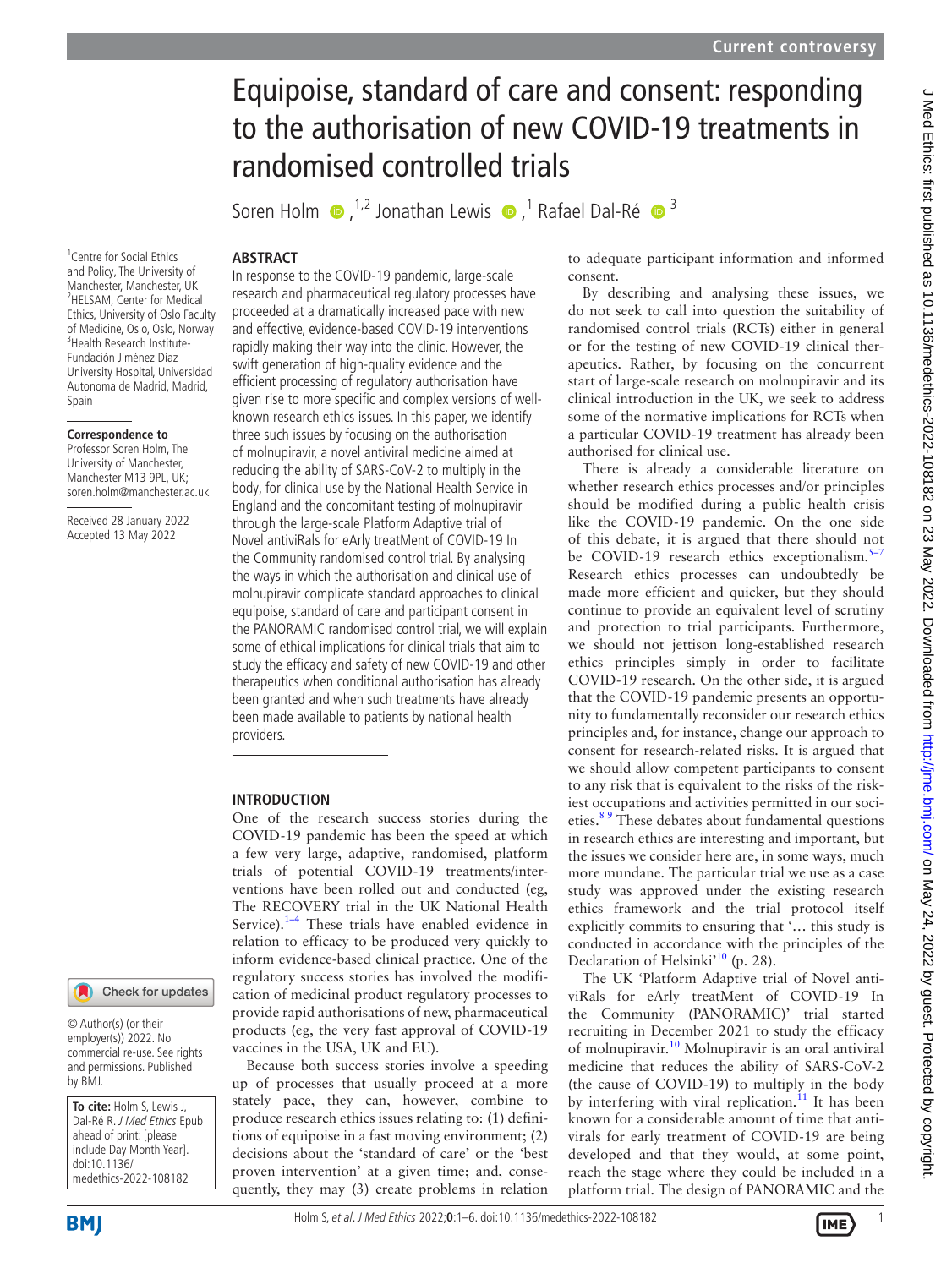# Equipoise, standard of care and consent: responding to the authorisation of new COVID-19 treatments in randomised controlled trials

Soren Holm  $\bullet$ , <sup>1,2</sup> Jonathan Lewis  $\bullet$ , <sup>1</sup> Rafael Dal-Ré  $\bullet$ <sup>3</sup>

# **ABSTRACT**

<sup>1</sup> Centre for Social Ethics and Policy, The University of Manchester, Manchester, UK 2 HELSAM, Center for Medical Ethics, University of Oslo Faculty of Medicine, Oslo, Oslo, Norway 3 Health Research Institute-Fundación Jiménez Díaz University Hospital, Universidad Autonoma de Madrid, Madrid, Spain

### **Correspondence to**

Professor Soren Holm, The University of Manchester, Manchester M13 9PL, UK; soren.holm@manchester.ac.uk

Received 28 January 2022 Accepted 13 May 2022

# Check for updates

© Author(s) (or their employer(s)) 2022. No commercial re-use. See rights and permissions. Published by BMJ.

**To cite:** Holm S, Lewis J, Dal-Ré R. J Med Ethics Epub ahead of print: [please include Day Month Year]. doi:10.1136/ medethics-2022-108182

In response to the COVID-19 pandemic, large-scale research and pharmaceutical regulatory processes have proceeded at a dramatically increased pace with new and effective, evidence-based COVID-19 interventions rapidly making their way into the clinic. However, the swift generation of high-quality evidence and the efficient processing of regulatory authorisation have given rise to more specific and complex versions of wellknown research ethics issues. In this paper, we identify three such issues by focusing on the authorisation of molnupiravir, a novel antiviral medicine aimed at reducing the ability of SARS-CoV-2 to multiply in the body, for clinical use by the National Health Service in England and the concomitant testing of molnupiravir through the large-scale Platform Adaptive trial of Novel antiviRals for eArly treatMent of COVID-19 In the Community randomised control trial. By analysing the ways in which the authorisation and clinical use of molnupiravir complicate standard approaches to clinical equipoise, standard of care and participant consent in the PANORAMIC randomised control trial, we will explain some of ethical implications for clinical trials that aim to study the efficacy and safety of new COVID-19 and other therapeutics when conditional authorisation has already been granted and when such treatments have already been made available to patients by national health providers.

# **INTRODUCTION**

One of the research success stories during the COVID-19 pandemic has been the speed at which a few very large, adaptive, randomised, platform trials of potential COVID-19 treatments/interventions have been rolled out and conducted (eg, The RECOVERY trial in the UK National Health Service). $1-4$  These trials have enabled evidence in relation to efficacy to be produced very quickly to inform evidence-based clinical practice. One of the regulatory success stories has involved the modification of medicinal product regulatory processes to provide rapid authorisations of new, pharmaceutical products (eg, the very fast approval of COVID-19 vaccines in the USA, UK and EU).

Because both success stories involve a speeding up of processes that usually proceed at a more stately pace, they can, however, combine to produce research ethics issues relating to: (1) definitions of equipoise in a fast moving environment; (2) decisions about the 'standard of care' or the 'best proven intervention' at a given time; and, consequently, they may (3) create problems in relation to adequate participant information and informed consent.

By describing and analysing these issues, we do not seek to call into question the suitability of randomised control trials (RCTs) either in general or for the testing of new COVID-19 clinical therapeutics. Rather, by focusing on the concurrent start of large-scale research on molnupiravir and its clinical introduction in the UK, we seek to address some of the normative implications for RCTs when a particular COVID-19 treatment has already been authorised for clinical use.

There is already a considerable literature on whether research ethics processes and/or principles should be modified during a public health crisis like the COVID-19 pandemic. On the one side of this debate, it is argued that there should not be COVID-19 research ethics exceptionalism. $5-7$ Research ethics processes can undoubtedly be made more efficient and quicker, but they should continue to provide an equivalent level of scrutiny and protection to trial participants. Furthermore, we should not jettison long-established research ethics principles simply in order to facilitate COVID-19 research. On the other side, it is argued that the COVID-19 pandemic presents an opportunity to fundamentally reconsider our research ethics principles and, for instance, change our approach to consent for research-related risks. It is argued that we should allow competent participants to consent to any risk that is equivalent to the risks of the riskiest occupations and activities permitted in our societies.<sup>89</sup> These debates about fundamental questions in research ethics are interesting and important, but the issues we consider here are, in some ways, much more mundane. The particular trial we use as a case study was approved under the existing research ethics framework and the trial protocol itself explicitly commits to ensuring that '… this study is conducted in accordance with the principles of the Declaration of Helsinki<sup>10</sup> (p. 28).

The UK 'Platform Adaptive trial of Novel antiviRals for eArly treatMent of COVID-19 In the Community (PANORAMIC)' trial started recruiting in December 2021 to study the efficacy of molnupiravir.<sup>[10](#page-5-3)</sup> Molnupiravir is an oral antiviral medicine that reduces the ability of SARS-CoV-2 (the cause of COVID-19) to multiply in the body by interfering with viral replication.<sup>[11](#page-5-4)</sup> It has been known for a considerable amount of time that antivirals for early treatment of COVID-19 are being developed and that they would, at some point, reach the stage where they could be included in a platform trial. The design of PANORAMIC and the



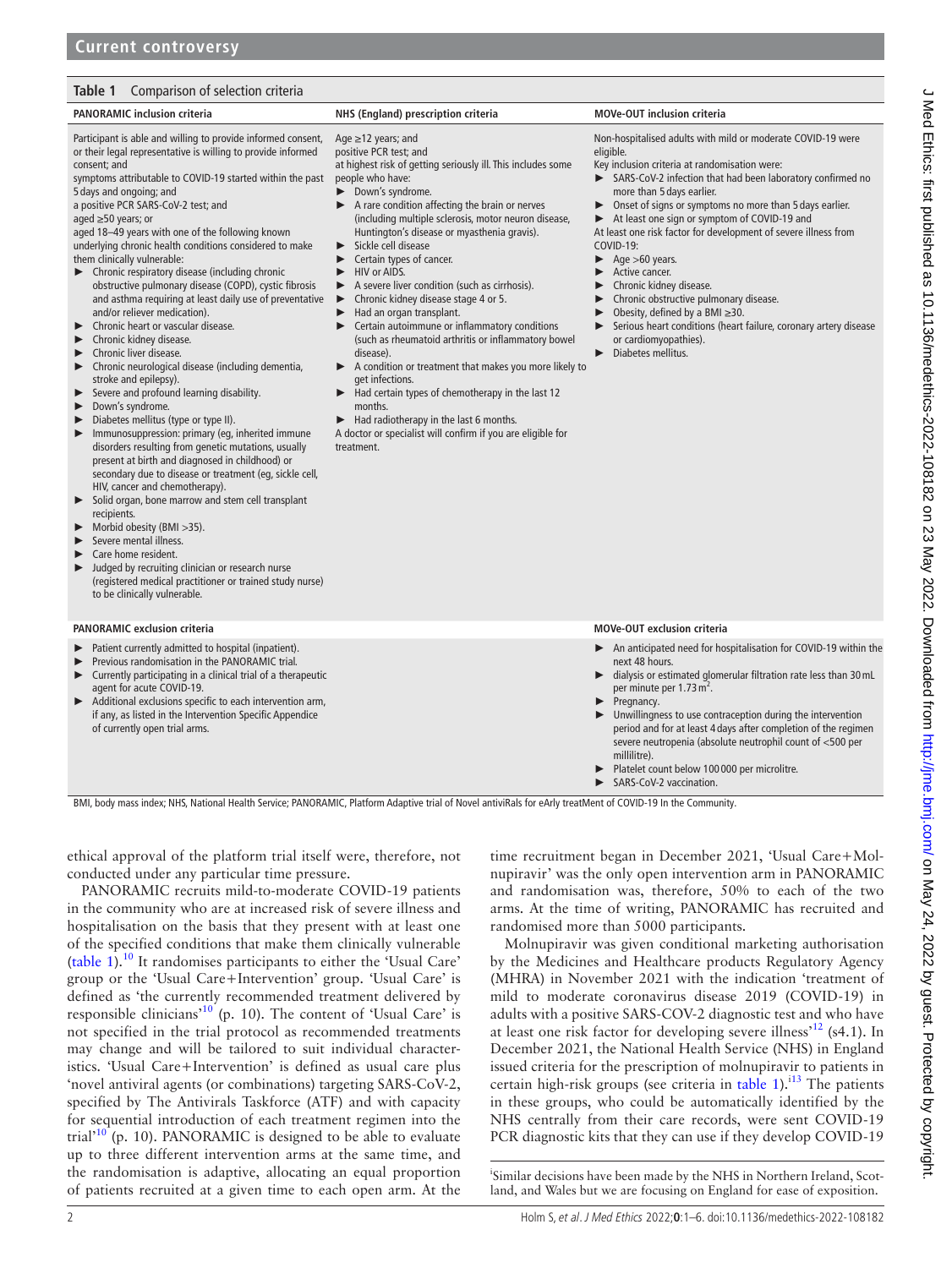# <span id="page-1-0"></span>**Table 1** Comparison of selection criteria

# **PANORAMIC inclusion criteria NHS (England) prescription criteria MOVe-OUT inclusion criteria**

Participant is able and willing to provide informed consent, or their legal representative is willing to provide informed consent; and

symptoms attributable to COVID-19 started within the past 5 days and ongoing; and

a positive PCR SARS-CoV-2 test; and

aged ≥50 years; or

aged 18–49 years with one of the following known underlying chronic health conditions considered to make them clinically vulnerable:

- ► Chronic respiratory disease (including chronic obstructive pulmonary disease (COPD), cystic fibrosis and asthma requiring at least daily use of preventative and/or reliever medication).
- ► Chronic heart or vascular disease.<br>► Chronic kidney disease.
- Chronic kidney disease.
- ► Chronic liver disease.
- ► Chronic neurological disease (including dementia, stroke and epilepsy).
- Severe and profound learning disability.
- ► Down's syndrome.

► Diabetes mellitus (type or type II).

- Immunosuppression: primary (eg, inherited immune disorders resulting from genetic mutations, usually present at birth and diagnosed in childhood) or secondary due to disease or treatment (eg, sickle cell, HIV, cancer and chemotherapy).
- Solid organ, bone marrow and stem cell transplant recipients.
- Morbid obesity (BMI > 35).
- Severe mental illness.
- Care home resident.
- ► Judged by recruiting clinician or research nurse (registered medical practitioner or trained study nurse) to be clinically vulnerable.

#### **PANORAMIC exclusion criteria MOVe-OUT exclusion criteria**

- Patient currently admitted to hospital (inpatient).
- Previous randomisation in the PANORAMIC trial.
- ► Currently participating in a clinical trial of a therapeutic agent for acute COVID-19.
- Additional exclusions specific to each intervention arm, if any, as listed in the Intervention Specific Appendice of currently open trial arms.

# Age ≥12 years; and

positive PCR test; and

at highest risk of getting seriously ill. This includes some people who have:

- ► Down's syndrome.
- ► A rare condition affecting the brain or nerves (including multiple sclerosis, motor neuron disease, Huntington's disease or myasthenia gravis).
- ► Sickle cell disease
- ► Certain types of cancer.
- ► HIV or AIDS.
- ► A severe liver condition (such as cirrhosis).<br>► Chronic kidney disease stage 4 or 5.
- ► Chronic kidney disease stage 4 or 5.
- Had an organ transplant.
- ► Certain autoimmune or inflammatory conditions (such as rheumatoid arthritis or inflammatory bowel disease).
- ► A condition or treatment that makes you more likely to get infections.
- Had certain types of chemotherapy in the last 12 months.
- Had radiotherapy in the last 6 months.
- A doctor or specialist will confirm if you are eligible for treatment.

Non-hospitalised adults with mild or moderate COVID-19 were eligible.

- Key inclusion criteria at randomisation were:<br> $SARS-COV-2$  infection that had been lab
	- SARS-CoV-2 infection that had been laboratory confirmed no more than 5 days earlier.
- ► Onset of signs or symptoms no more than 5 days earlier.
- ► At least one sign or symptom of COVID-19 and At least one risk factor for development of severe illness from
- COVID-19: Age >60 years.
- ► Active cancer.
- ► Chronic kidney disease.
- ► Chronic obstructive pulmonary disease.
- Obesity, defined by a BMI  $\geq$ 30.
- Serious heart conditions (heart failure, coronary artery disease or cardiomyopathies).
- ► Diabetes mellitus.

- ► An anticipated need for hospitalisation for COVID-19 within the next 48 hours.
	- dialysis or estimated glomerular filtration rate less than 30 mL per minute per 1.73 m<sup>2</sup>.
- ► Pregnancy.
- Unwillingness to use contraception during the intervention period and for at least 4 days after completion of the regimen severe neutropenia (absolute neutrophil count of <500 per millilitre).
- Platelet count below 100 000 per microlitre.
- SARS-CoV-2 vaccination

BMI, body mass index; NHS, National Health Service; PANORAMIC, Platform Adaptive trial of Novel antiviRals for eArly treatMent of COVID-19 In the Community.

ethical approval of the platform trial itself were, therefore, not conducted under any particular time pressure.

PANORAMIC recruits mild-to-moderate COVID-19 patients in the community who are at increased risk of severe illness and hospitalisation on the basis that they present with at least one of the specified conditions that make them clinically vulnerable ([table](#page-1-0) 1).[10](#page-5-3) It randomises participants to either the 'Usual Care' group or the 'Usual Care+Intervention' group. 'Usual Care' is defined as 'the currently recommended treatment delivered by responsible clinicians'[10](#page-5-3) (p. 10). The content of 'Usual Care' is not specified in the trial protocol as recommended treatments may change and will be tailored to suit individual characteristics. 'Usual Care+Intervention' is defined as usual care plus 'novel antiviral agents (or combinations) targeting SARS-CoV-2, specified by The Antivirals Taskforce (ATF) and with capacity for sequential introduction of each treatment regimen into the trial $1^{10}$  (p. 10). PANORAMIC is designed to be able to evaluate up to three different intervention arms at the same time, and the randomisation is adaptive, allocating an equal proportion of patients recruited at a given time to each open arm. At the

time recruitment began in December 2021, 'Usual Care+Molnupiravir' was the only open intervention arm in PANORAMIC and randomisation was, therefore, 50% to each of the two arms. At the time of writing, PANORAMIC has recruited and randomised more than 5000 participants.

Molnupiravir was given conditional marketing authorisation by the Medicines and Healthcare products Regulatory Agency (MHRA) in November 2021 with the indication 'treatment of mild to moderate coronavirus disease 2019 (COVID-19) in adults with a positive SARS-COV-2 diagnostic test and who have at least one risk factor for developing severe illness<sup> $12$ </sup> (s4.1). In December 2021, the National Health Service (NHS) in England issued criteria for the prescription of molnupiravir to patients in certain high-risk groups (see criteria in [table](#page-1-0) 1).<sup>i13</sup> The patients in these groups, who could be automatically identified by the NHS centrally from their care records, were sent COVID-19 PCR diagnostic kits that they can use if they develop COVID-19

i Similar decisions have been made by the NHS in Northern Ireland, Scotland, and Wales but we are focusing on England for ease of exposition.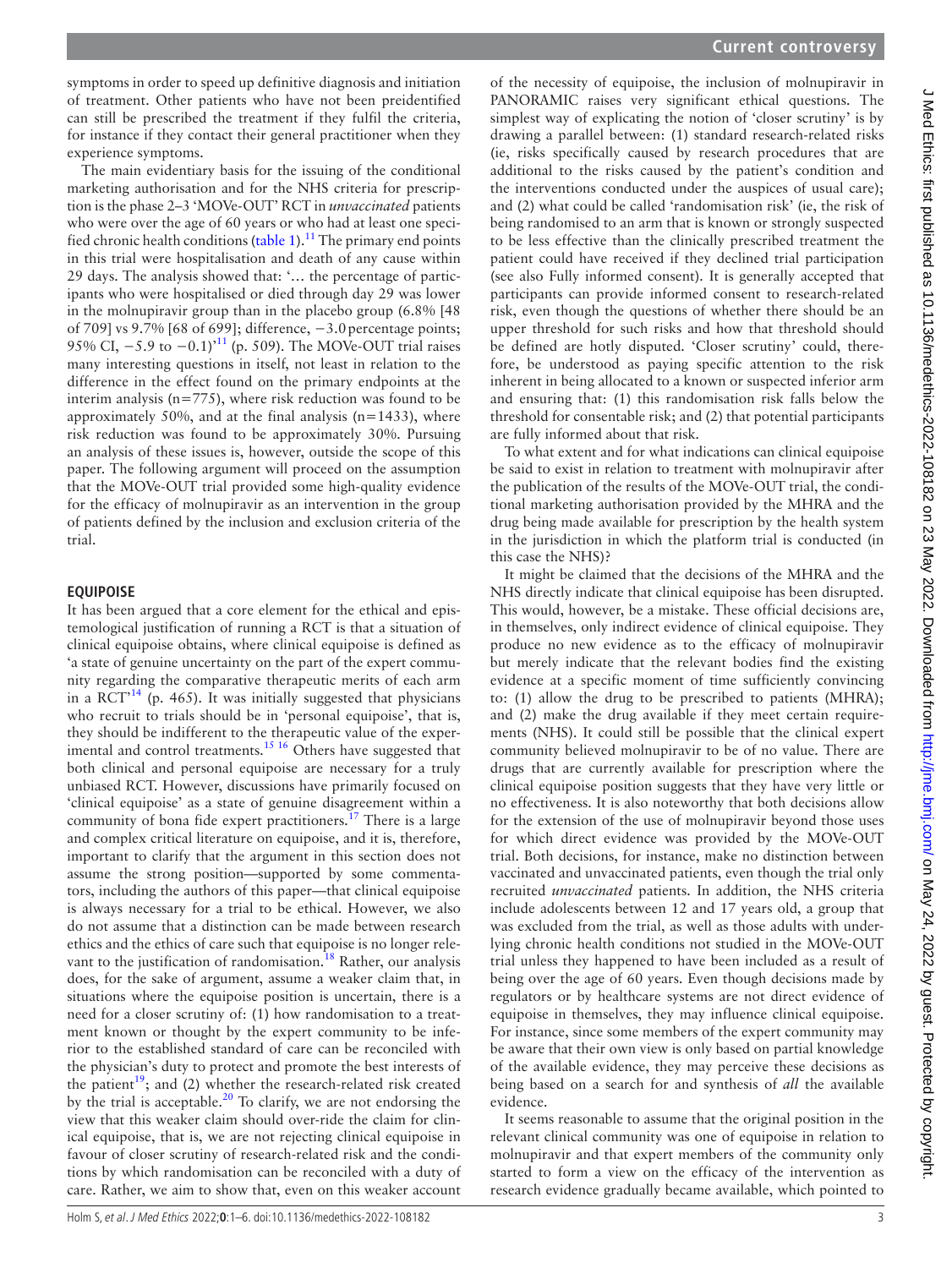symptoms in order to speed up definitive diagnosis and initiation of treatment. Other patients who have not been preidentified can still be prescribed the treatment if they fulfil the criteria, for instance if they contact their general practitioner when they experience symptoms.

The main evidentiary basis for the issuing of the conditional marketing authorisation and for the NHS criteria for prescription is the phase 2–3 'MOVe-OUT' RCT in *unvaccinated* patients who were over the age of 60 years or who had at least one speci-fied chronic health conditions [\(table](#page-1-0) 1).<sup>11</sup> The primary end points in this trial were hospitalisation and death of any cause within 29 days. The analysis showed that: '… the percentage of participants who were hospitalised or died through day 29 was lower in the molnupiravir group than in the placebo group (6.8% [48 of 709] vs 9.7% [68 of 699]; difference, −3.0percentage points; 95% CI, -5.9 to -0.1)<sup>[11](#page-5-4)</sup> (p. 509). The MOVe-OUT trial raises many interesting questions in itself, not least in relation to the difference in the effect found on the primary endpoints at the interim analysis ( $n=775$ ), where risk reduction was found to be approximately 50%, and at the final analysis  $(n=1433)$ , where risk reduction was found to be approximately 30%. Pursuing an analysis of these issues is, however, outside the scope of this paper. The following argument will proceed on the assumption that the MOVe-OUT trial provided some high-quality evidence for the efficacy of molnupiravir as an intervention in the group of patients defined by the inclusion and exclusion criteria of the trial.

# **EQUIPOISE**

It has been argued that a core element for the ethical and epistemological justification of running a RCT is that a situation of clinical equipoise obtains, where clinical equipoise is defined as 'a state of genuine uncertainty on the part of the expert community regarding the comparative therapeutic merits of each arm in a  $\mathrm{RCT}^{14}$  (p. 465). It was initially suggested that physicians who recruit to trials should be in 'personal equipoise', that is, they should be indifferent to the therapeutic value of the experimental and control treatments.<sup>15 16</sup> Others have suggested that both clinical and personal equipoise are necessary for a truly unbiased RCT. However, discussions have primarily focused on 'clinical equipoise' as a state of genuine disagreement within a community of bona fide expert practitioners.<sup>17</sup> There is a large and complex critical literature on equipoise, and it is, therefore, important to clarify that the argument in this section does not assume the strong position—supported by some commentators, including the authors of this paper—that clinical equipoise is always necessary for a trial to be ethical. However, we also do not assume that a distinction can be made between research ethics and the ethics of care such that equipoise is no longer relevant to the justification of randomisation.<sup>18</sup> Rather, our analysis does, for the sake of argument, assume a weaker claim that, in situations where the equipoise position is uncertain, there is a need for a closer scrutiny of: (1) how randomisation to a treatment known or thought by the expert community to be inferior to the established standard of care can be reconciled with the physician's duty to protect and promote the best interests of the patient<sup>19</sup>; and (2) whether the research-related risk created by the trial is acceptable.<sup>20</sup> To clarify, we are not endorsing the view that this weaker claim should over-ride the claim for clinical equipoise, that is, we are not rejecting clinical equipoise in favour of closer scrutiny of research-related risk and the conditions by which randomisation can be reconciled with a duty of care. Rather, we aim to show that, even on this weaker account

of the necessity of equipoise, the inclusion of molnupiravir in PANORAMIC raises very significant ethical questions. The simplest way of explicating the notion of 'closer scrutiny' is by drawing a parallel between: (1) standard research-related risks (ie, risks specifically caused by research procedures that are additional to the risks caused by the patient's condition and the interventions conducted under the auspices of usual care); and (2) what could be called 'randomisation risk' (ie, the risk of being randomised to an arm that is known or strongly suspected to be less effective than the clinically prescribed treatment the patient could have received if they declined trial participation (see also Fully informed consent). It is generally accepted that participants can provide informed consent to research-related risk, even though the questions of whether there should be an upper threshold for such risks and how that threshold should be defined are hotly disputed. 'Closer scrutiny' could, therefore, be understood as paying specific attention to the risk inherent in being allocated to a known or suspected inferior arm and ensuring that: (1) this randomisation risk falls below the threshold for consentable risk; and (2) that potential participants are fully informed about that risk.

To what extent and for what indications can clinical equipoise be said to exist in relation to treatment with molnupiravir after the publication of the results of the MOVe-OUT trial, the conditional marketing authorisation provided by the MHRA and the drug being made available for prescription by the health system in the jurisdiction in which the platform trial is conducted (in this case the NHS)?

It might be claimed that the decisions of the MHRA and the NHS directly indicate that clinical equipoise has been disrupted. This would, however, be a mistake. These official decisions are, in themselves, only indirect evidence of clinical equipoise. They produce no new evidence as to the efficacy of molnupiravir but merely indicate that the relevant bodies find the existing evidence at a specific moment of time sufficiently convincing to: (1) allow the drug to be prescribed to patients (MHRA); and (2) make the drug available if they meet certain requirements (NHS). It could still be possible that the clinical expert community believed molnupiravir to be of no value. There are drugs that are currently available for prescription where the clinical equipoise position suggests that they have very little or no effectiveness. It is also noteworthy that both decisions allow for the extension of the use of molnupiravir beyond those uses for which direct evidence was provided by the MOVe-OUT trial. Both decisions, for instance, make no distinction between vaccinated and unvaccinated patients, even though the trial only recruited *unvaccinated* patients. In addition, the NHS criteria include adolescents between 12 and 17 years old, a group that was excluded from the trial, as well as those adults with underlying chronic health conditions not studied in the MOVe-OUT trial unless they happened to have been included as a result of being over the age of 60 years. Even though decisions made by regulators or by healthcare systems are not direct evidence of equipoise in themselves, they may influence clinical equipoise. For instance, since some members of the expert community may be aware that their own view is only based on partial knowledge of the available evidence, they may perceive these decisions as being based on a search for and synthesis of *all* the available evidence.

It seems reasonable to assume that the original position in the relevant clinical community was one of equipoise in relation to molnupiravir and that expert members of the community only started to form a view on the efficacy of the intervention as research evidence gradually became available, which pointed to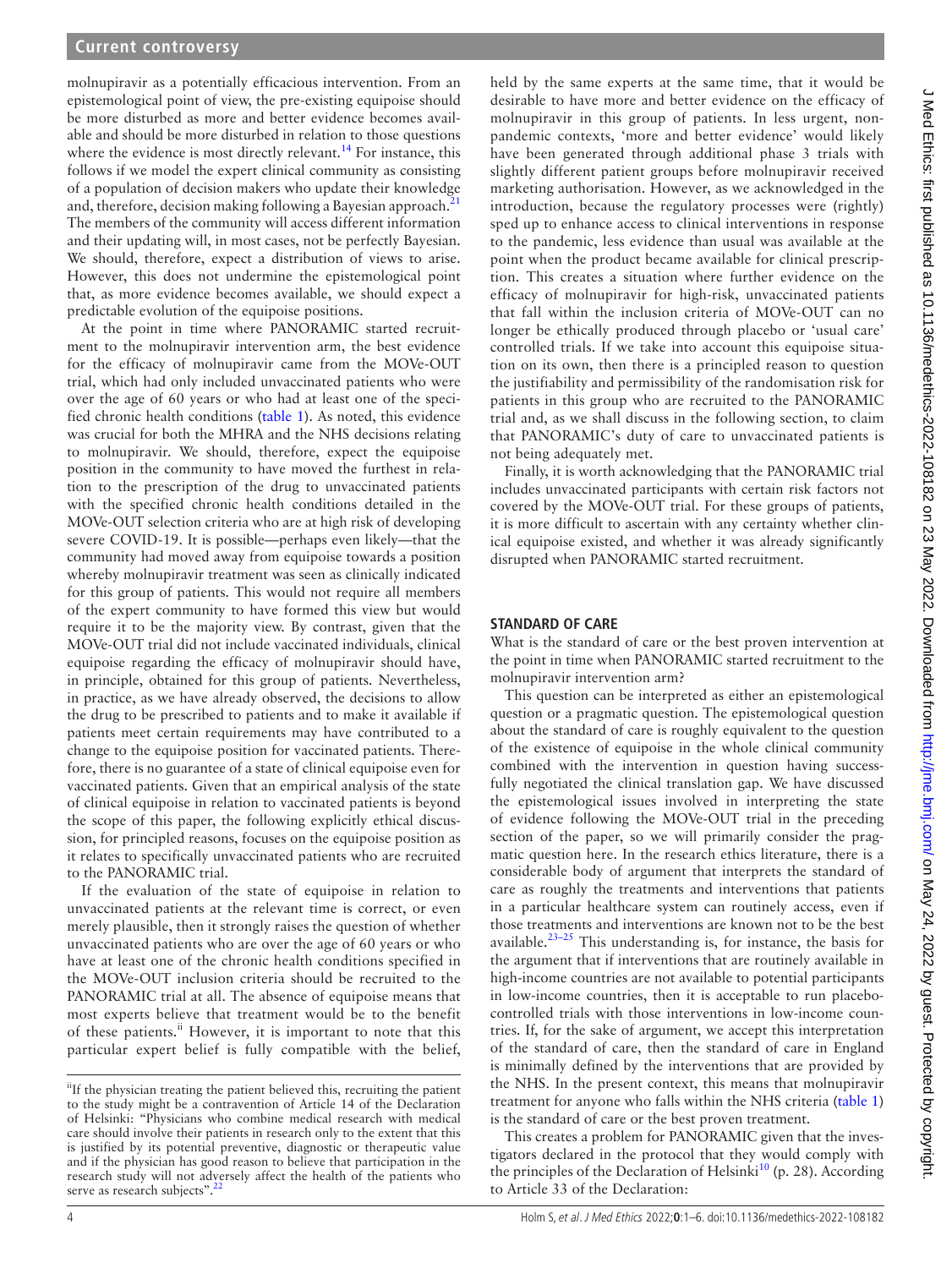molnupiravir as a potentially efficacious intervention. From an epistemological point of view, the pre-existing equipoise should be more disturbed as more and better evidence becomes available and should be more disturbed in relation to those questions where the evidence is most directly relevant.<sup>14</sup> For instance, this follows if we model the expert clinical community as consisting of a population of decision makers who update their knowledge and, therefore, decision making following a Bayesian approach. $^{21}$  $^{21}$  $^{21}$ The members of the community will access different information and their updating will, in most cases, not be perfectly Bayesian. We should, therefore, expect a distribution of views to arise. However, this does not undermine the epistemological point that, as more evidence becomes available, we should expect a predictable evolution of the equipoise positions.

At the point in time where PANORAMIC started recruitment to the molnupiravir intervention arm, the best evidence for the efficacy of molnupiravir came from the MOVe-OUT trial, which had only included unvaccinated patients who were over the age of 60 years or who had at least one of the specified chronic health conditions [\(table](#page-1-0) 1). As noted, this evidence was crucial for both the MHRA and the NHS decisions relating to molnupiravir. We should, therefore, expect the equipoise position in the community to have moved the furthest in relation to the prescription of the drug to unvaccinated patients with the specified chronic health conditions detailed in the MOVe-OUT selection criteria who are at high risk of developing severe COVID-19. It is possible—perhaps even likely—that the community had moved away from equipoise towards a position whereby molnupiravir treatment was seen as clinically indicated for this group of patients. This would not require all members of the expert community to have formed this view but would require it to be the majority view. By contrast, given that the MOVe-OUT trial did not include vaccinated individuals, clinical equipoise regarding the efficacy of molnupiravir should have, in principle, obtained for this group of patients. Nevertheless, in practice, as we have already observed, the decisions to allow the drug to be prescribed to patients and to make it available if patients meet certain requirements may have contributed to a change to the equipoise position for vaccinated patients. Therefore, there is no guarantee of a state of clinical equipoise even for vaccinated patients. Given that an empirical analysis of the state of clinical equipoise in relation to vaccinated patients is beyond the scope of this paper, the following explicitly ethical discussion, for principled reasons, focuses on the equipoise position as it relates to specifically unvaccinated patients who are recruited to the PANORAMIC trial.

If the evaluation of the state of equipoise in relation to unvaccinated patients at the relevant time is correct, or even merely plausible, then it strongly raises the question of whether unvaccinated patients who are over the age of 60 years or who have at least one of the chronic health conditions specified in the MOVe-OUT inclusion criteria should be recruited to the PANORAMIC trial at all. The absence of equipoise means that most experts believe that treatment would be to the benefit of these patients.<sup>ii</sup> However, it is important to note that this particular expert belief is fully compatible with the belief,

held by the same experts at the same time, that it would be desirable to have more and better evidence on the efficacy of molnupiravir in this group of patients. In less urgent, nonpandemic contexts, 'more and better evidence' would likely have been generated through additional phase 3 trials with slightly different patient groups before molnupiravir received marketing authorisation. However, as we acknowledged in the introduction, because the regulatory processes were (rightly) sped up to enhance access to clinical interventions in response to the pandemic, less evidence than usual was available at the point when the product became available for clinical prescription. This creates a situation where further evidence on the efficacy of molnupiravir for high-risk, unvaccinated patients that fall within the inclusion criteria of MOVe-OUT can no longer be ethically produced through placebo or 'usual care' controlled trials. If we take into account this equipoise situation on its own, then there is a principled reason to question the justifiability and permissibility of the randomisation risk for patients in this group who are recruited to the PANORAMIC trial and, as we shall discuss in the following section, to claim that PANORAMIC's duty of care to unvaccinated patients is not being adequately met.

Finally, it is worth acknowledging that the PANORAMIC trial includes unvaccinated participants with certain risk factors not covered by the MOVe-OUT trial. For these groups of patients, it is more difficult to ascertain with any certainty whether clinical equipoise existed, and whether it was already significantly disrupted when PANORAMIC started recruitment.

# **STANDARD OF CARE**

What is the standard of care or the best proven intervention at the point in time when PANORAMIC started recruitment to the molnupiravir intervention arm?

This question can be interpreted as either an epistemological question or a pragmatic question. The epistemological question about the standard of care is roughly equivalent to the question of the existence of equipoise in the whole clinical community combined with the intervention in question having successfully negotiated the clinical translation gap. We have discussed the epistemological issues involved in interpreting the state of evidence following the MOVe-OUT trial in the preceding section of the paper, so we will primarily consider the pragmatic question here. In the research ethics literature, there is a considerable body of argument that interprets the standard of care as roughly the treatments and interventions that patients in a particular healthcare system can routinely access, even if those treatments and interventions are known not to be the best available.<sup>[23–25](#page-5-15)</sup> This understanding is, for instance, the basis for the argument that if interventions that are routinely available in high-income countries are not available to potential participants in low-income countries, then it is acceptable to run placebocontrolled trials with those interventions in low-income countries. If, for the sake of argument, we accept this interpretation of the standard of care, then the standard of care in England is minimally defined by the interventions that are provided by the NHS. In the present context, this means that molnupiravir treatment for anyone who falls within the NHS criteria [\(table](#page-1-0) 1) is the standard of care or the best proven treatment.

This creates a problem for PANORAMIC given that the investigators declared in the protocol that they would comply with the principles of the Declaration of Helsinki<sup>10</sup> (p. 28). According to Article 33 of the Declaration:

<sup>&</sup>lt;sup>ii</sup>If the physician treating the patient believed this, recruiting the patient to the study might be a contravention of Article 14 of the Declaration of Helsinki: "Physicians who combine medical research with medical care should involve their patients in research only to the extent that this is justified by its potential preventive, diagnostic or therapeutic value and if the physician has good reason to believe that participation in the research study will not adversely affect the health of the patients who serve as research subjects".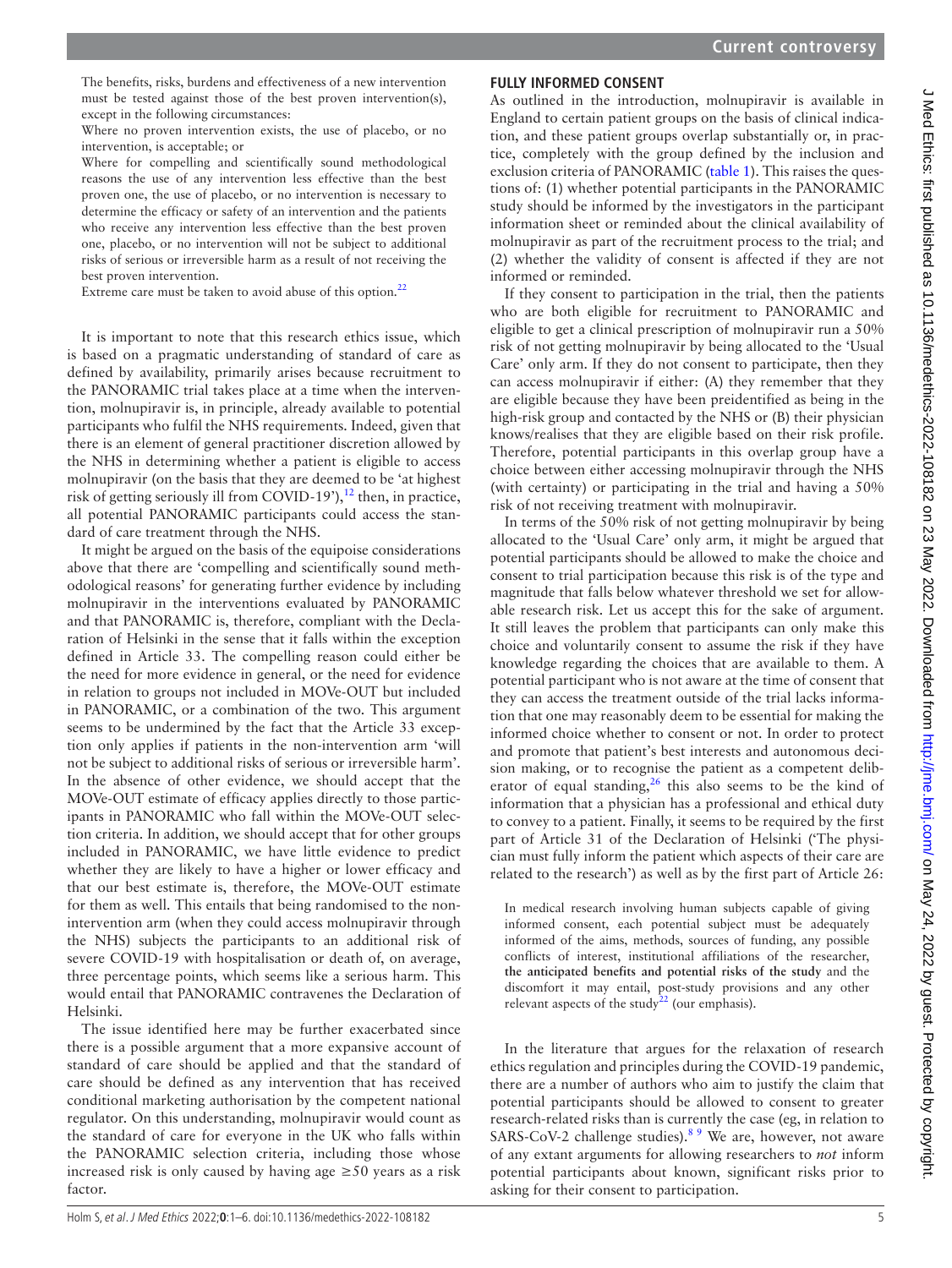The benefits, risks, burdens and effectiveness of a new intervention must be tested against those of the best proven intervention(s), except in the following circumstances:

Where no proven intervention exists, the use of placebo, or no intervention, is acceptable; or

Where for compelling and scientifically sound methodological reasons the use of any intervention less effective than the best proven one, the use of placebo, or no intervention is necessary to determine the efficacy or safety of an intervention and the patients who receive any intervention less effective than the best proven one, placebo, or no intervention will not be subject to additional risks of serious or irreversible harm as a result of not receiving the best proven intervention.

Extreme care must be taken to avoid abuse of this option. $^{22}$  $^{22}$  $^{22}$ 

It is important to note that this research ethics issue, which is based on a pragmatic understanding of standard of care as defined by availability, primarily arises because recruitment to the PANORAMIC trial takes place at a time when the intervention, molnupiravir is, in principle, already available to potential participants who fulfil the NHS requirements. Indeed, given that there is an element of general practitioner discretion allowed by the NHS in determining whether a patient is eligible to access molnupiravir (on the basis that they are deemed to be 'at highest risk of getting seriously ill from COVID-19'), $^{12}$  then, in practice, all potential PANORAMIC participants could access the standard of care treatment through the NHS.

It might be argued on the basis of the equipoise considerations above that there are 'compelling and scientifically sound methodological reasons' for generating further evidence by including molnupiravir in the interventions evaluated by PANORAMIC and that PANORAMIC is, therefore, compliant with the Declaration of Helsinki in the sense that it falls within the exception defined in Article 33. The compelling reason could either be the need for more evidence in general, or the need for evidence in relation to groups not included in MOVe-OUT but included in PANORAMIC, or a combination of the two. This argument seems to be undermined by the fact that the Article 33 exception only applies if patients in the non-intervention arm 'will not be subject to additional risks of serious or irreversible harm'. In the absence of other evidence, we should accept that the MOVe-OUT estimate of efficacy applies directly to those participants in PANORAMIC who fall within the MOVe-OUT selection criteria. In addition, we should accept that for other groups included in PANORAMIC, we have little evidence to predict whether they are likely to have a higher or lower efficacy and that our best estimate is, therefore, the MOVe-OUT estimate for them as well. This entails that being randomised to the nonintervention arm (when they could access molnupiravir through the NHS) subjects the participants to an additional risk of severe COVID-19 with hospitalisation or death of, on average, three percentage points, which seems like a serious harm. This would entail that PANORAMIC contravenes the Declaration of Helsinki.

The issue identified here may be further exacerbated since there is a possible argument that a more expansive account of standard of care should be applied and that the standard of care should be defined as any intervention that has received conditional marketing authorisation by the competent national regulator. On this understanding, molnupiravir would count as the standard of care for everyone in the UK who falls within the PANORAMIC selection criteria, including those whose increased risk is only caused by having age  $\geq 50$  years as a risk factor.

# **FULLY INFORMED CONSENT**

As outlined in the introduction, molnupiravir is available in England to certain patient groups on the basis of clinical indication, and these patient groups overlap substantially or, in practice, completely with the group defined by the inclusion and exclusion criteria of PANORAMIC [\(table](#page-1-0) 1). This raises the questions of: (1) whether potential participants in the PANORAMIC study should be informed by the investigators in the participant information sheet or reminded about the clinical availability of molnupiravir as part of the recruitment process to the trial; and (2) whether the validity of consent is affected if they are not informed or reminded.

If they consent to participation in the trial, then the patients who are both eligible for recruitment to PANORAMIC and eligible to get a clinical prescription of molnupiravir run a 50% risk of not getting molnupiravir by being allocated to the 'Usual Care' only arm. If they do not consent to participate, then they can access molnupiravir if either: (A) they remember that they are eligible because they have been preidentified as being in the high-risk group and contacted by the NHS or (B) their physician knows/realises that they are eligible based on their risk profile. Therefore, potential participants in this overlap group have a choice between either accessing molnupiravir through the NHS (with certainty) or participating in the trial and having a 50% risk of not receiving treatment with molnupiravir.

In terms of the 50% risk of not getting molnupiravir by being allocated to the 'Usual Care' only arm, it might be argued that potential participants should be allowed to make the choice and consent to trial participation because this risk is of the type and magnitude that falls below whatever threshold we set for allowable research risk. Let us accept this for the sake of argument. It still leaves the problem that participants can only make this choice and voluntarily consent to assume the risk if they have knowledge regarding the choices that are available to them. A potential participant who is not aware at the time of consent that they can access the treatment outside of the trial lacks information that one may reasonably deem to be essential for making the informed choice whether to consent or not. In order to protect and promote that patient's best interests and autonomous decision making, or to recognise the patient as a competent delib-erator of equal standing,<sup>[26](#page-5-16)</sup> this also seems to be the kind of information that a physician has a professional and ethical duty to convey to a patient. Finally, it seems to be required by the first part of Article 31 of the Declaration of Helsinki ('The physician must fully inform the patient which aspects of their care are related to the research') as well as by the first part of Article 26:

In medical research involving human subjects capable of giving informed consent, each potential subject must be adequately informed of the aims, methods, sources of funding, any possible conflicts of interest, institutional affiliations of the researcher, **the anticipated benefits and potential risks of the study** and the discomfort it may entail, post-study provisions and any other relevant aspects of the study<sup>[22](#page-5-14)</sup> (our emphasis).

In the literature that argues for the relaxation of research ethics regulation and principles during the COVID-19 pandemic, there are a number of authors who aim to justify the claim that potential participants should be allowed to consent to greater research-related risks than is currently the case (eg, in relation to SARS-CoV-2 challenge studies).<sup>8.9</sup> We are, however, not aware of any extant arguments for allowing researchers to *not* inform potential participants about known, significant risks prior to asking for their consent to participation.